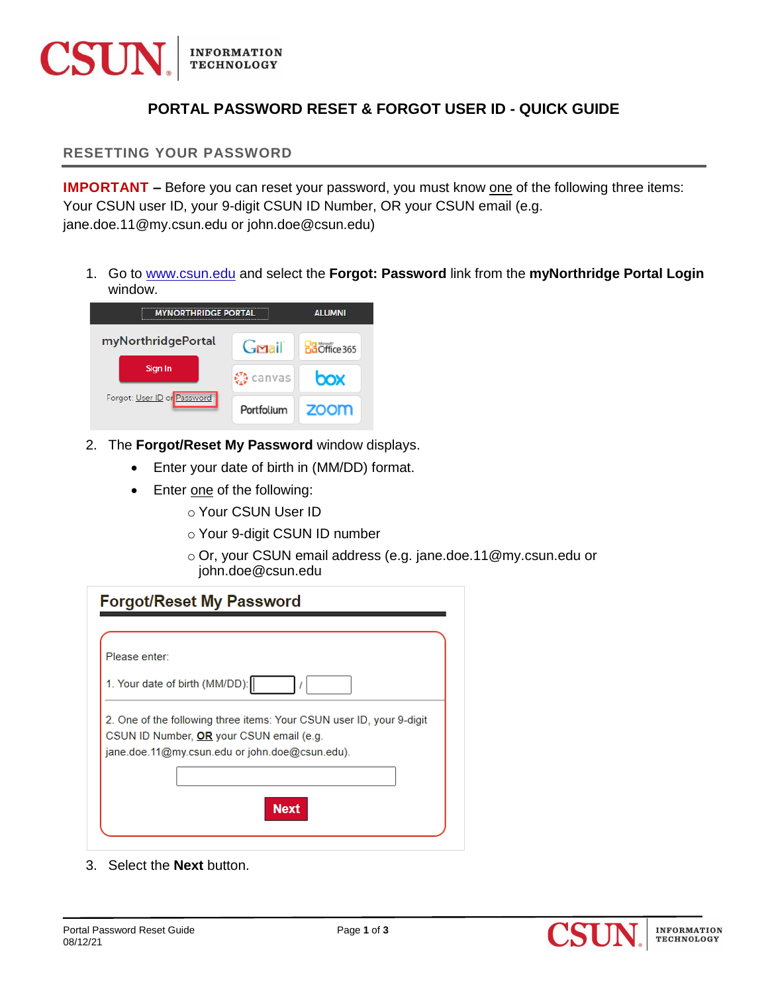

## **PORTAL PASSWORD RESET & FORGOT USER ID - QUICK GUIDE**

**RESETTING YOUR PASSWORD** 

**IMPORTANT** – Before you can reset your password, you must know one of the following three items: Your CSUN user ID, your 9-digit CSUN ID Number, OR your CSUN email (e.g. jane.doe.11@my.csun.edu or john.doe@csun.edu)

1. Go to [www.csun.edu](http://www.csun.edu/) and select the **Forgot: Password** link from the **myNorthridge Portal Login** window.



- 2. The **Forgot/Reset My Password** window displays.
	- Enter your date of birth in (MM/DD) format.
	- Enter one of the following:
		- o Your CSUN User ID
		- o Your 9-digit CSUN ID number
		- o Or, your CSUN email address (e.g. jane.doe.11@my.csun.edu or john.doe@csun.edu

| <b>Forgot/Reset My Password</b>                                      |  |
|----------------------------------------------------------------------|--|
|                                                                      |  |
| Please enter:                                                        |  |
| 1. Your date of birth (MM/DD):                                       |  |
| 2. One of the following three items: Your CSUN user ID, your 9-digit |  |
| CSUN ID Number, OR your CSUN email (e.g.                             |  |
| jane.doe.11@my.csun.edu or john.doe@csun.edu).                       |  |
|                                                                      |  |
|                                                                      |  |
| Next                                                                 |  |
|                                                                      |  |
|                                                                      |  |

3. Select the **Next** button.

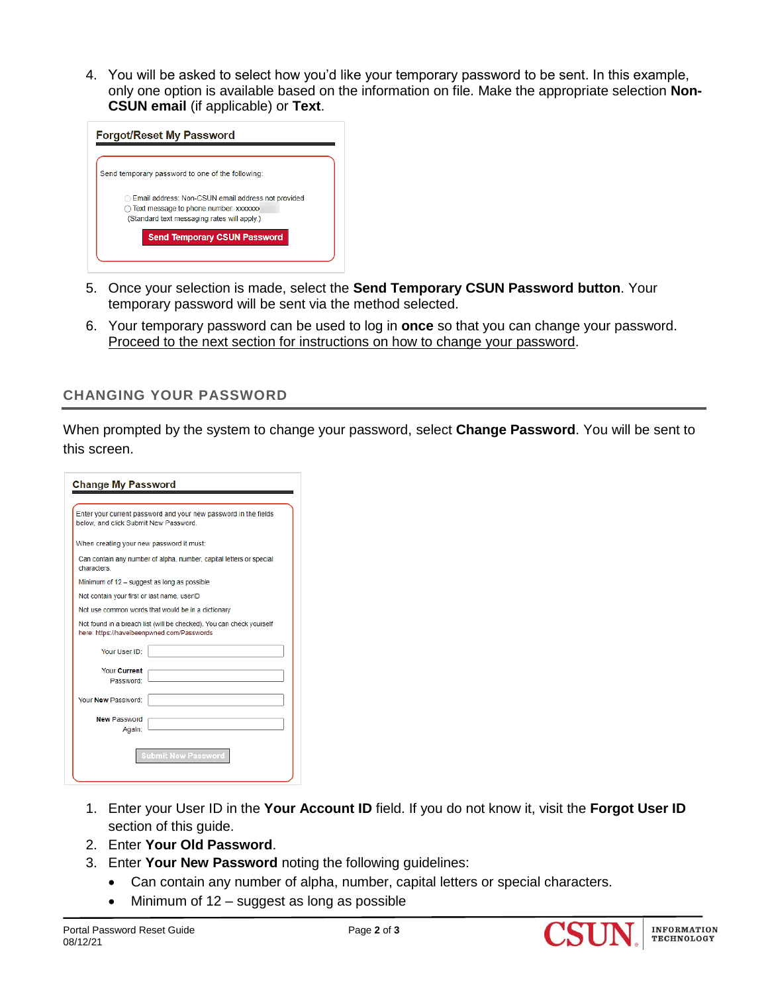4. You will be asked to select how you'd like your temporary password to be sent. In this example, only one option is available based on the information on file. Make the appropriate selection **Non-CSUN email** (if applicable) or **Text**.

| <b>Forgot/Reset My Password</b>                                                                                                                       |  |
|-------------------------------------------------------------------------------------------------------------------------------------------------------|--|
|                                                                                                                                                       |  |
| Send temporary password to one of the following:                                                                                                      |  |
| Email address: Non-CSUN email address not provided<br>$\bigcirc$ Text message to phone number: xxxxxxx<br>(Standard text messaging rates will apply.) |  |
| <b>Send Temporary CSUN Password</b>                                                                                                                   |  |
|                                                                                                                                                       |  |

- 5. Once your selection is made, select the **Send Temporary CSUN Password button**. Your temporary password will be sent via the method selected.
- 6. Your temporary password can be used to log in **once** so that you can change your password. Proceed to the next section for instructions on how to change your password.

## **CHANGING YOUR PASSWORD**

When prompted by the system to change your password, select **Change Password**. You will be sent to this screen.

| <b>Change My Password</b>                                                                                          |
|--------------------------------------------------------------------------------------------------------------------|
| Enter your current password and your new password in the fields<br>below, and click Submit New Password.           |
| When creating your new password it must:                                                                           |
| Can contain any number of alpha, number, capital letters or special<br>characters.                                 |
| Minimum of 12 - suggest as long as possible                                                                        |
| Not contain your first or last name, userID                                                                        |
| Not use common words that would be in a dictionary                                                                 |
| Not found in a breach list (will be checked). You can check yourself<br>here: https://haveibeenpwned.com/Passwords |
| Your User ID:                                                                                                      |
| <b>Your Current</b><br>Password:                                                                                   |
| Your New Password:                                                                                                 |
| <b>New Password</b><br>Again:                                                                                      |
| Submit New Password                                                                                                |

- 1. Enter your User ID in the **Your Account ID** field. If you do not know it, visit the **Forgot User ID** section of this guide.
- 2. Enter **Your Old Password**.
- 3. Enter **Your New Password** noting the following guidelines:
	- Can contain any number of alpha, number, capital letters or special characters.
	- Minimum of 12 suggest as long as possible